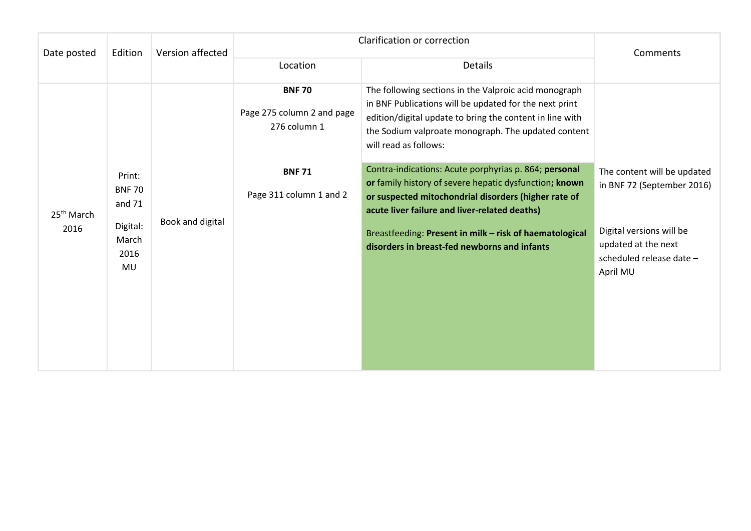| Date posted                    | Edition                                                                     | Version affected | Clarification or correction                                |                                                                                                                                                                                                                                                                                                                                     | Comments                                                                                                                                             |
|--------------------------------|-----------------------------------------------------------------------------|------------------|------------------------------------------------------------|-------------------------------------------------------------------------------------------------------------------------------------------------------------------------------------------------------------------------------------------------------------------------------------------------------------------------------------|------------------------------------------------------------------------------------------------------------------------------------------------------|
|                                |                                                                             |                  | Location                                                   | Details                                                                                                                                                                                                                                                                                                                             |                                                                                                                                                      |
|                                |                                                                             |                  | <b>BNF70</b><br>Page 275 column 2 and page<br>276 column 1 | The following sections in the Valproic acid monograph<br>in BNF Publications will be updated for the next print<br>edition/digital update to bring the content in line with<br>the Sodium valproate monograph. The updated content<br>will read as follows:                                                                         |                                                                                                                                                      |
| 25 <sup>th</sup> March<br>2016 | Print:<br><b>BNF 70</b><br>and 71<br>Digital:<br>March<br>2016<br><b>MU</b> | Book and digital | <b>BNF71</b><br>Page 311 column 1 and 2                    | Contra-indications: Acute porphyrias p. 864; personal<br>or family history of severe hepatic dysfunction; known<br>or suspected mitochondrial disorders (higher rate of<br>acute liver failure and liver-related deaths)<br>Breastfeeding: Present in milk - risk of haematological<br>disorders in breast-fed newborns and infants | The content will be updated<br>in BNF 72 (September 2016)<br>Digital versions will be<br>updated at the next<br>scheduled release date -<br>April MU |